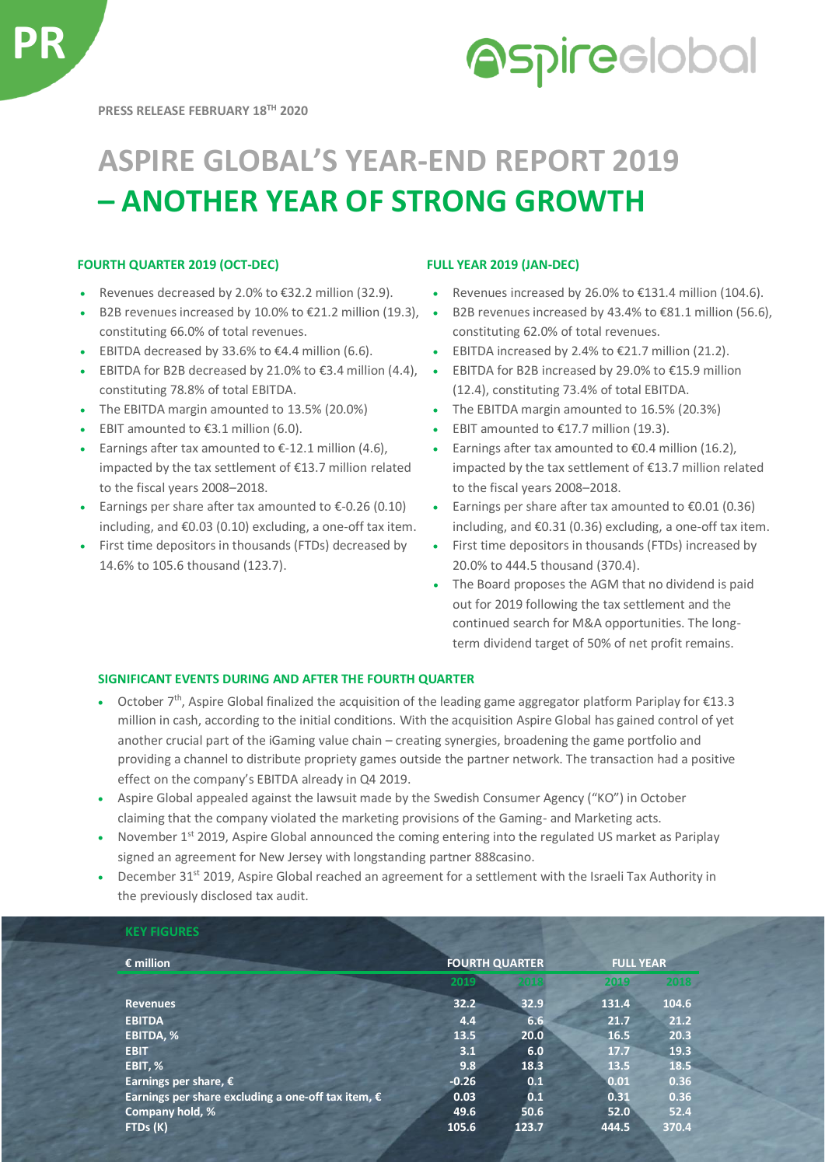## **Aspireclobal**

## **ASPIRE GLOBAL'S YEAR-END REPORT 2019 – ANOTHER YEAR OF STRONG GROWTH**

### **FOURTH QUARTER 2019 (OCT-DEC) FULL YEAR 2019 (JAN-DEC)**

- 
- B2B revenues increased by 10.0% to  $£21.2$  million (19.3),  $\bullet$ constituting 66.0% of total revenues.
- 
- EBITDA for B2B decreased by 21.0% to €3.4 million  $(4.4)$ ,  $\bullet$ constituting 78.8% of total EBITDA.
- 
- 
- Earnings after tax amounted to  $\epsilon$ -12.1 million (4.6), impacted by the tax settlement of €13.7 million related to the fiscal years 2008–2018.
- Earnings per share after tax amounted to  $\epsilon$ -0.26 (0.10) including, and €0.03 (0.10) excluding, a one-off tax item.
- First time depositors in thousands (FTDs) decreased by 14.6% to 105.6 thousand (123.7).

- Revenues decreased by 2.0% to €32.2 million (32.9). Revenues increased by 26.0% to €131.4 million (104.6).
	- B2B revenues increased by 43.4% to €81.1 million (56.6), constituting 62.0% of total revenues.
- EBITDA decreased by 33.6% to €4.4 million (6.6). EBITDA increased by 2.4% to €21.7 million (21.2).
	- EBITDA for B2B increased by 29.0% to €15.9 million (12.4), constituting 73.4% of total EBITDA.
- The EBITDA margin amounted to 13.5% (20.0%) The EBITDA margin amounted to 16.5% (20.3%)
- EBIT amounted to  $\epsilon$ 3.1 million (6.0). EBIT amounted to  $\epsilon$ 17.7 million (19.3).
	- Earnings after tax amounted to €0.4 million (16.2), impacted by the tax settlement of €13.7 million related to the fiscal years 2008–2018.
	- Earnings per share after tax amounted to  $\epsilon$ 0.01 (0.36) including, and €0.31 (0.36) excluding, a one-off tax item.
	- First time depositors in thousands (FTDs) increased by 20.0% to 444.5 thousand (370.4).
	- The Board proposes the AGM that no dividend is paid out for 2019 following the tax settlement and the continued search for M&A opportunities. The longterm dividend target of 50% of net profit remains.

### **SIGNIFICANT EVENTS DURING AND AFTER THE FOURTH QUARTER**

- October 7<sup>th</sup>, Aspire Global finalized the acquisition of the leading game aggregator platform Pariplay for €13.3 million in cash, according to the initial conditions. With the acquisition Aspire Global has gained control of yet another crucial part of the iGaming value chain – creating synergies, broadening the game portfolio and providing a channel to distribute propriety games outside the partner network. The transaction had a positive effect on the company's EBITDA already in Q4 2019.
- Aspire Global appealed against the lawsuit made by the Swedish Consumer Agency ("KO") in October claiming that the company violated the marketing provisions of the Gaming- and Marketing acts.
- November 1<sup>st</sup> 2019, Aspire Global announced the coming entering into the regulated US market as Pariplay signed an agreement for New Jersey with longstanding partner 888casino.
- December 31<sup>st</sup> 2019, Aspire Global reached an agreement for a settlement with the Israeli Tax Authority in the previously disclosed tax audit.

| $\epsilon$ million                                          | <b>FOURTH QUARTER</b> |       | <b>FULL YEAR</b> |         |  |
|-------------------------------------------------------------|-----------------------|-------|------------------|---------|--|
|                                                             | 2019                  | 小球    | 2019             | $-2018$ |  |
| <b>Revenues</b>                                             | 32.2                  | 32.9  | 131.4            | 104.6   |  |
| <b>EBITDA</b>                                               | 4.4                   | 6.6   | 21.7             | 21.2    |  |
| EBITDA, %                                                   | 13.5                  | 20.0  | 16.5             | 20.3    |  |
| <b>EBIT</b>                                                 | 3.1                   | 6.0   | 17.7             | 19.3    |  |
| EBIT, %                                                     | 9.8                   | 18.3  | 13.5             | 18.5    |  |
| Earnings per share, $\epsilon$                              | $-0.26$               | 0.1   | 0.01             | 0.36    |  |
| Earnings per share excluding a one-off tax item, $\epsilon$ | 0.03                  | 0.1   | 0.31             | 0.36    |  |
| Company hold, %                                             | 49.6                  | 50.6  | 52.0             | 52.4    |  |
| FTDs (K)                                                    | 105.6                 | 123.7 | 444.5            | 370.4   |  |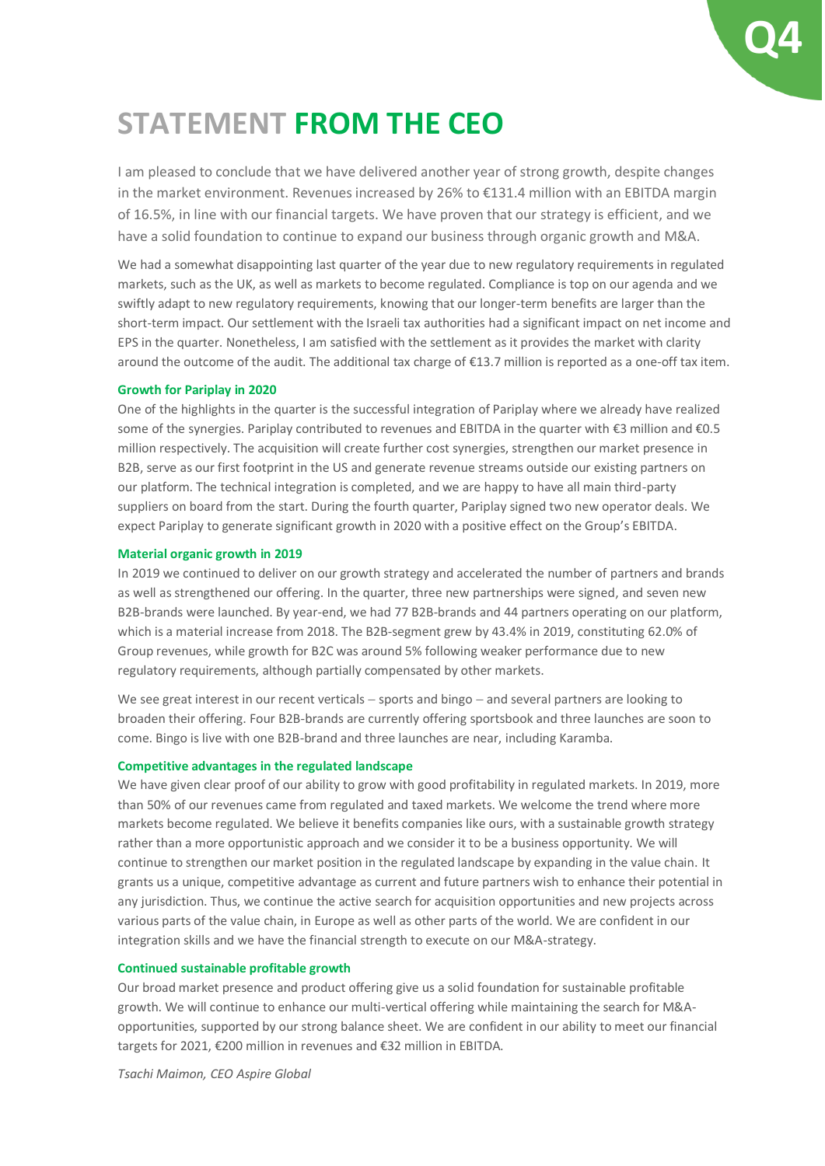# **Q4**

### **STATEMENT FROM THE CEO**

I am pleased to conclude that we have delivered another year of strong growth, despite changes in the market environment. Revenues increased by 26% to €131.4 million with an EBITDA margin of 16.5%, in line with our financial targets. We have proven that our strategy is efficient, and we have a solid foundation to continue to expand our business through organic growth and M&A.

We had a somewhat disappointing last quarter of the year due to new regulatory requirements in regulated markets, such as the UK, as well as markets to become regulated. Compliance is top on our agenda and we swiftly adapt to new regulatory requirements, knowing that our longer-term benefits are larger than the short-term impact. Our settlement with the Israeli tax authorities had a significant impact on net income and EPS in the quarter. Nonetheless, I am satisfied with the settlement as it provides the market with clarity around the outcome of the audit. The additional tax charge of €13.7 million is reported as a one-off tax item.

#### **Growth for Pariplay in 2020**

One of the highlights in the quarter is the successful integration of Pariplay where we already have realized some of the synergies. Pariplay contributed to revenues and EBITDA in the quarter with €3 million and €0.5 million respectively. The acquisition will create further cost synergies, strengthen our market presence in B2B, serve as our first footprint in the US and generate revenue streams outside our existing partners on our platform. The technical integration is completed, and we are happy to have all main third-party suppliers on board from the start. During the fourth quarter, Pariplay signed two new operator deals. We expect Pariplay to generate significant growth in 2020 with a positive effect on the Group's EBITDA.

#### **Material organic growth in 2019**

In 2019 we continued to deliver on our growth strategy and accelerated the number of partners and brands as well as strengthened our offering. In the quarter, three new partnerships were signed, and seven new B2B-brands were launched. By year-end, we had 77 B2B-brands and 44 partners operating on our platform, which is a material increase from 2018. The B2B-segment grew by 43.4% in 2019, constituting 62.0% of Group revenues, while growth for B2C was around 5% following weaker performance due to new regulatory requirements, although partially compensated by other markets.

We see great interest in our recent verticals – sports and bingo – and several partners are looking to broaden their offering. Four B2B-brands are currently offering sportsbook and three launches are soon to come. Bingo is live with one B2B-brand and three launches are near, including Karamba.

#### **Competitive advantages in the regulated landscape**

We have given clear proof of our ability to grow with good profitability in regulated markets. In 2019, more than 50% of our revenues came from regulated and taxed markets. We welcome the trend where more markets become regulated. We believe it benefits companies like ours, with a sustainable growth strategy rather than a more opportunistic approach and we consider it to be a business opportunity. We will continue to strengthen our market position in the regulated landscape by expanding in the value chain. It grants us a unique, competitive advantage as current and future partners wish to enhance their potential in any jurisdiction. Thus, we continue the active search for acquisition opportunities and new projects across various parts of the value chain, in Europe as well as other parts of the world. We are confident in our integration skills and we have the financial strength to execute on our M&A-strategy.

#### **Continued sustainable profitable growth**

Our broad market presence and product offering give us a solid foundation for sustainable profitable growth. We will continue to enhance our multi-vertical offering while maintaining the search for M&Aopportunities, supported by our strong balance sheet. We are confident in our ability to meet our financial targets for 2021, €200 million in revenues and €32 million in EBITDA.

*Tsachi Maimon, CEO Aspire Global*